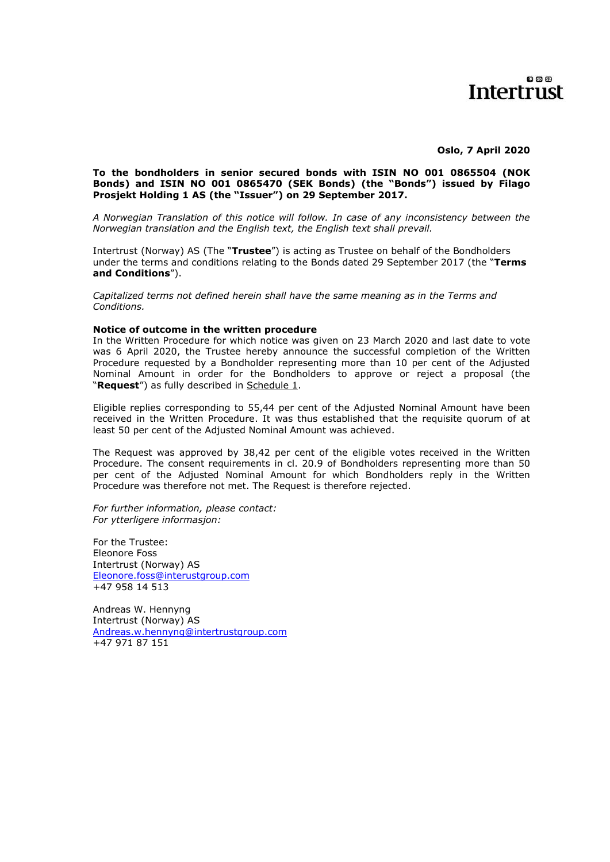### $0@B$ Intertrust

**Oslo, 7 April 2020**

#### **To the bondholders in senior secured bonds with ISIN NO 001 0865504 (NOK Bonds) and ISIN NO 001 0865470 (SEK Bonds) (the "Bonds") issued by Filago Prosjekt Holding 1 AS (the "Issuer") on 29 September 2017.**

*A Norwegian Translation of this notice will follow. In case of any inconsistency between the Norwegian translation and the English text, the English text shall prevail.* 

Intertrust (Norway) AS (The "**Trustee**") is acting as Trustee on behalf of the Bondholders under the terms and conditions relating to the Bonds dated 29 September 2017 (the "**Terms and Conditions**").

*Capitalized terms not defined herein shall have the same meaning as in the Terms and Conditions.*

#### **Notice of outcome in the written procedure**

In the Written Procedure for which notice was given on 23 March 2020 and last date to vote was 6 April 2020, the Trustee hereby announce the successful completion of the Written Procedure requested by a Bondholder representing more than 10 per cent of the Adjusted Nominal Amount in order for the Bondholders to approve or reject a proposal (the "**Request**") as fully described in Schedule 1.

Eligible replies corresponding to 55,44 per cent of the Adjusted Nominal Amount have been received in the Written Procedure. It was thus established that the requisite quorum of at least 50 per cent of the Adjusted Nominal Amount was achieved.

The Request was approved by 38,42 per cent of the eligible votes received in the Written Procedure. The consent requirements in cl. 20.9 of Bondholders representing more than 50 per cent of the Adjusted Nominal Amount for which Bondholders reply in the Written Procedure was therefore not met. The Request is therefore rejected.

*For further information, please contact: For ytterligere informasjon:*

For the Trustee: Eleonore Foss Intertrust (Norway) AS [Eleonore.foss@interustgroup.com](mailto:Eleonore.foss@interustgroup.com) +47 958 14 513

Andreas W. Hennyng Intertrust (Norway) AS [Andreas.w.hennyng@intertrustgroup.com](mailto:Andreas.w.hennyng@intertrustgroup.com) +47 971 87 151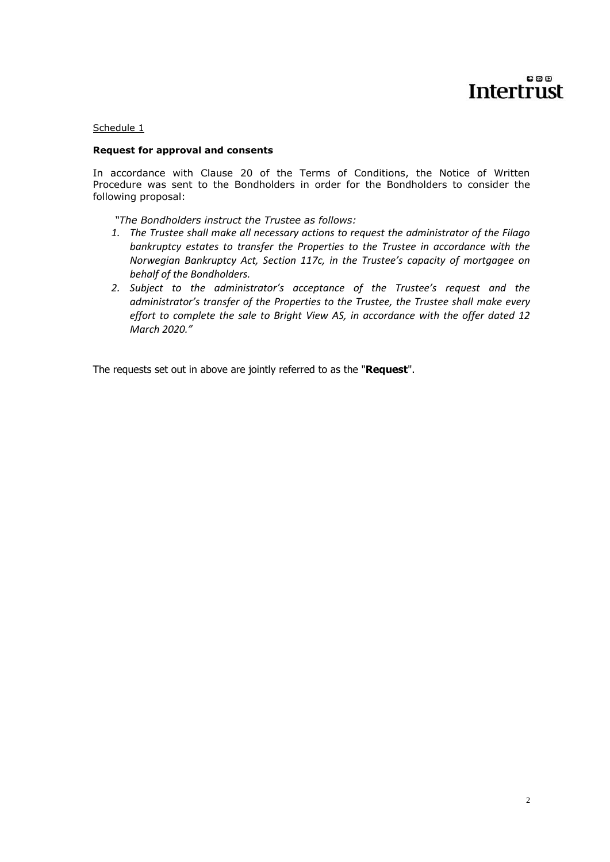# $000$ Intertrust

### Schedule 1

### **Request for approval and consents**

In accordance with Clause 20 of the Terms of Conditions, the Notice of Written Procedure was sent to the Bondholders in order for the Bondholders to consider the following proposal:

*"The Bondholders instruct the Trustee as follows:*

- *1. The Trustee shall make all necessary actions to request the administrator of the Filago bankruptcy estates to transfer the Properties to the Trustee in accordance with the Norwegian Bankruptcy Act, Section 117c, in the Trustee's capacity of mortgagee on behalf of the Bondholders.*
- *2. Subject to the administrator's acceptance of the Trustee's request and the administrator's transfer of the Properties to the Trustee, the Trustee shall make every effort to complete the sale to Bright View AS, in accordance with the offer dated 12 March 2020."*

The requests set out in above are jointly referred to as the "**Request**".